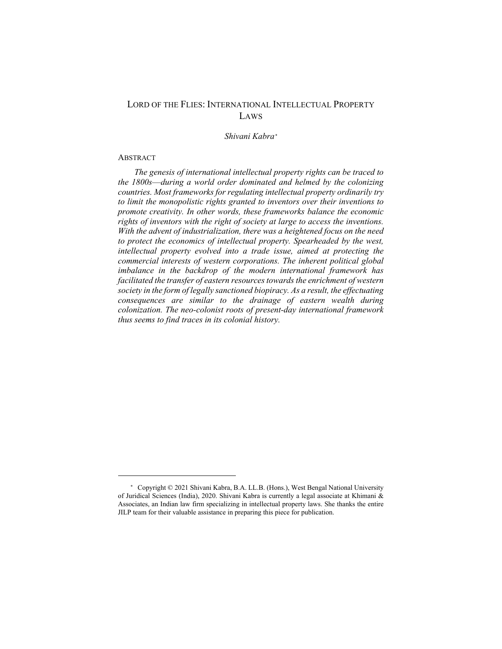# LORD OF THE FLIES: INTERNATIONAL INTELLECTUAL PROPERTY LAWS

*Shivani Kabra[\\*](#page-0-0)*

### ABSTRACT

 $\overline{a}$ 

*The genesis of international intellectual property rights can be traced to the 1800s*—*during a world order dominated and helmed by the colonizing countries. Most frameworks for regulating intellectual property ordinarily try to limit the monopolistic rights granted to inventors over their inventions to promote creativity. In other words, these frameworks balance the economic rights of inventors with the right of society at large to access the inventions. With the advent of industrialization, there was a heightened focus on the need to protect the economics of intellectual property. Spearheaded by the west, intellectual property evolved into a trade issue, aimed at protecting the commercial interests of western corporations. The inherent political global imbalance in the backdrop of the modern international framework has facilitated the transfer of eastern resources towards the enrichment of western society in the form of legally sanctioned biopiracy. As a result, the effectuating consequences are similar to the drainage of eastern wealth during colonization. The neo-colonist roots of present-day international framework thus seems to find traces in its colonial history.*

<span id="page-0-0"></span><sup>\*</sup> Copyright © 2021 Shivani Kabra, B.A. LL.B. (Hons.), West Bengal National University of Juridical Sciences (India), 2020. Shivani Kabra is currently a legal associate at Khimani & Associates, an Indian law firm specializing in intellectual property laws. She thanks the entire JILP team for their valuable assistance in preparing this piece for publication.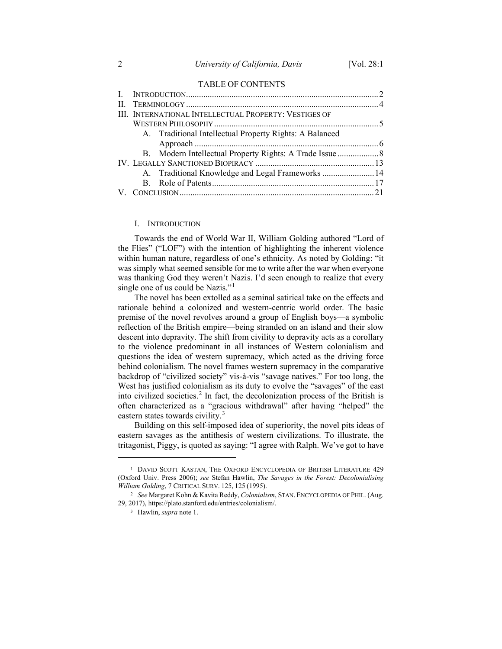#### TABLE OF CONTENTS

| III. INTERNATIONAL INTELLECTUAL PROPERTY: VESTIGES OF |                                                         |  |
|-------------------------------------------------------|---------------------------------------------------------|--|
|                                                       |                                                         |  |
|                                                       | A. Traditional Intellectual Property Rights: A Balanced |  |
|                                                       |                                                         |  |
|                                                       | B. Modern Intellectual Property Rights: A Trade Issue   |  |
|                                                       |                                                         |  |
|                                                       | A. Traditional Knowledge and Legal Frameworks  14       |  |
|                                                       |                                                         |  |
|                                                       |                                                         |  |
|                                                       |                                                         |  |

#### I. INTRODUCTION

Towards the end of World War II, William Golding authored "Lord of the Flies" ("LOF") with the intention of highlighting the inherent violence within human nature, regardless of one's ethnicity. As noted by Golding: "it was simply what seemed sensible for me to write after the war when everyone was thanking God they weren't Nazis. I'd seen enough to realize that every single one of us could be Nazis."<sup>[1](#page-1-0)</sup>

The novel has been extolled as a seminal satirical take on the effects and rationale behind a colonized and western-centric world order. The basic premise of the novel revolves around a group of English boys—a symbolic reflection of the British empire—being stranded on an island and their slow descent into depravity. The shift from civility to depravity acts as a corollary to the violence predominant in all instances of Western colonialism and questions the idea of western supremacy, which acted as the driving force behind colonialism. The novel frames western supremacy in the comparative backdrop of "civilized society" vis-à-vis "savage natives." For too long, the West has justified colonialism as its duty to evolve the "savages" of the east into civilized societies.<sup>[2](#page-1-1)</sup> In fact, the decolonization process of the British is often characterized as a "gracious withdrawal" after having "helped" the eastern states towards civility.<sup>[3](#page-1-2)</sup>

Building on this self-imposed idea of superiority, the novel pits ideas of eastern savages as the antithesis of western civilizations. To illustrate, the tritagonist, Piggy, is quoted as saying: "I agree with Ralph. We've got to have

<span id="page-1-0"></span><sup>1</sup> DAVID SCOTT KASTAN, THE OXFORD ENCYCLOPEDIA OF BRITISH LITERATURE 429 (Oxford Univ. Press 2006); *see* Stefan Hawlin, *The Savages in the Forest: Decolonialising William Golding*, 7 CRITICAL SURV. 125, 125 (1995).

<span id="page-1-2"></span><span id="page-1-1"></span><sup>2</sup> *See* Margaret Kohn & Kavita Reddy, *Colonialism*, STAN. ENCYCLOPEDIA OF PHIL. (Aug. 29, 2017), https://plato.stanford.edu/entries/colonialism/.

<sup>3</sup> Hawlin, *supra* note 1.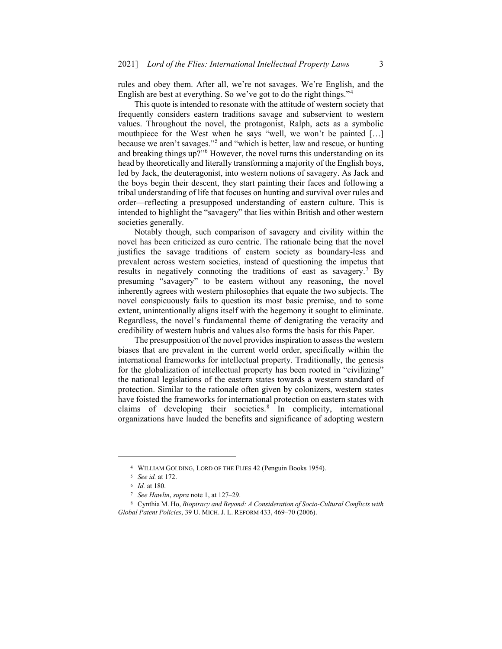rules and obey them. After all, we're not savages. We're English, and the English are best at everything. So we've got to do the right things."[4](#page-2-0)

This quote is intended to resonate with the attitude of western society that frequently considers eastern traditions savage and subservient to western values. Throughout the novel, the protagonist, Ralph, acts as a symbolic mouthpiece for the West when he says "well, we won't be painted […] because we aren't savages."[5](#page-2-1) and "which is better, law and rescue, or hunting and breaking things up?"<sup>[6](#page-2-2)</sup> However, the novel turns this understanding on its head by theoretically and literally transforming a majority of the English boys, led by Jack, the deuteragonist, into western notions of savagery. As Jack and the boys begin their descent, they start painting their faces and following a tribal understanding of life that focuses on hunting and survival over rules and order—reflecting a presupposed understanding of eastern culture. This is intended to highlight the "savagery" that lies within British and other western societies generally.

Notably though, such comparison of savagery and civility within the novel has been criticized as euro centric. The rationale being that the novel justifies the savage traditions of eastern society as boundary-less and prevalent across western societies, instead of questioning the impetus that results in negatively connoting the traditions of east as savagery.[7](#page-2-3) By presuming "savagery" to be eastern without any reasoning, the novel inherently agrees with western philosophies that equate the two subjects. The novel conspicuously fails to question its most basic premise, and to some extent, unintentionally aligns itself with the hegemony it sought to eliminate. Regardless, the novel's fundamental theme of denigrating the veracity and credibility of western hubris and values also forms the basis for this Paper.

The presupposition of the novel provides inspiration to assess the western biases that are prevalent in the current world order, specifically within the international frameworks for intellectual property. Traditionally, the genesis for the globalization of intellectual property has been rooted in "civilizing" the national legislations of the eastern states towards a western standard of protection. Similar to the rationale often given by colonizers, western states have foisted the frameworks for international protection on eastern states with claims of developing their societies.[8](#page-2-4) In complicity, international organizations have lauded the benefits and significance of adopting western

<sup>4</sup> WILLIAM GOLDING, LORD OF THE FLIES 42 (Penguin Books 1954).

<sup>5</sup> *See id.* at 172.

<sup>6</sup> *Id.* at 180.

<sup>7</sup> *See Hawlin*, *supra* note 1, at 127–29.

<span id="page-2-4"></span><span id="page-2-3"></span><span id="page-2-2"></span><span id="page-2-1"></span><span id="page-2-0"></span><sup>8</sup> Cynthia M. Ho, *Biopiracy and Beyond: A Consideration of Socio-Cultural Conflicts with Global Patent Policies*, 39 U. MICH. J. L. REFORM 433, 469–70 (2006).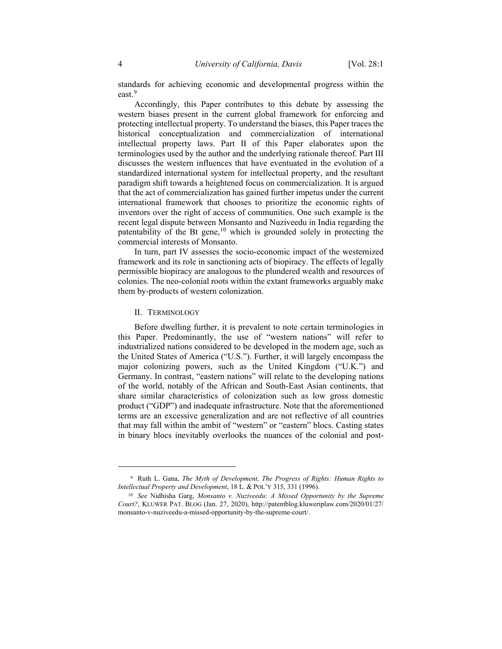standards for achieving economic and developmental progress within the east.[9](#page-3-0)

Accordingly, this Paper contributes to this debate by assessing the western biases present in the current global framework for enforcing and protecting intellectual property. To understand the biases, this Paper traces the historical conceptualization and commercialization of international intellectual property laws. Part II of this Paper elaborates upon the terminologies used by the author and the underlying rationale thereof. Part III discusses the western influences that have eventuated in the evolution of a standardized international system for intellectual property, and the resultant paradigm shift towards a heightened focus on commercialization. It is argued that the act of commercialization has gained further impetus under the current international framework that chooses to prioritize the economic rights of inventors over the right of access of communities. One such example is the recent legal dispute between Monsanto and Nuziveedu in India regarding the patentability of the Bt gene,<sup>[10](#page-3-1)</sup> which is grounded solely in protecting the commercial interests of Monsanto.

In turn, part IV assesses the socio-economic impact of the westernized framework and its role in sanctioning acts of biopiracy. The effects of legally permissible biopiracy are analogous to the plundered wealth and resources of colonies. The neo-colonial roots within the extant frameworks arguably make them by-products of western colonization.

### II. TERMINOLOGY

 $\overline{a}$ 

Before dwelling further, it is prevalent to note certain terminologies in this Paper. Predominantly, the use of "western nations" will refer to industrialized nations considered to be developed in the modern age, such as the United States of America ("U.S."). Further, it will largely encompass the major colonizing powers, such as the United Kingdom ("U.K.") and Germany. In contrast, "eastern nations" will relate to the developing nations of the world, notably of the African and South-East Asian continents, that share similar characteristics of colonization such as low gross domestic product ("GDP") and inadequate infrastructure. Note that the aforementioned terms are an excessive generalization and are not reflective of all countries that may fall within the ambit of "western" or "eastern" blocs. Casting states in binary blocs inevitably overlooks the nuances of the colonial and post-

<span id="page-3-1"></span><span id="page-3-0"></span><sup>9</sup> Ruth L. Gana, *The Myth of Development, The Progress of Rights: Human Rights to Intellectual Property and Development*, 18 L. & POL'Y 315, 331 (1996).

<sup>10</sup> *See* Nidhisha Garg, *Monsanto v. Nuziveedu: A Missed Opportunity by the Supreme Court?*, KLUWER PAT. BLOG (Jan. 27, 2020), http://patentblog.kluweriplaw.com/2020/01/27/ monsanto-v-nuziveedu-a-missed-opportunity-by-the-supreme-court/.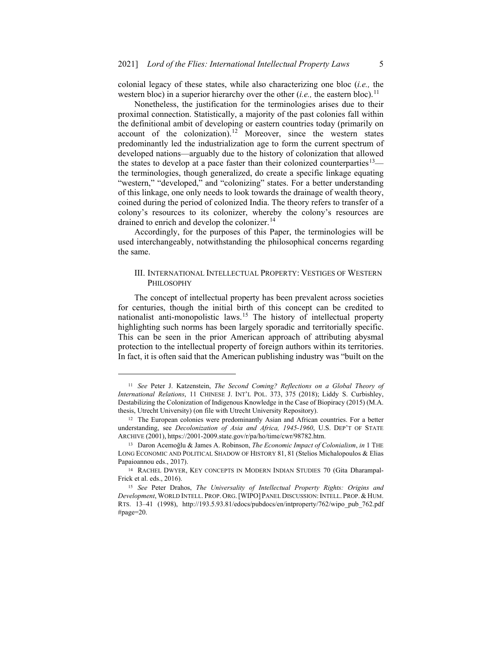colonial legacy of these states, while also characterizing one bloc (*i.e.,* the western bloc) in a superior hierarchy over the other  $(i.e.,$  the eastern bloc).<sup>[11](#page-4-0)</sup>

Nonetheless, the justification for the terminologies arises due to their proximal connection. Statistically, a majority of the past colonies fall within the definitional ambit of developing or eastern countries today (primarily on account of the colonization).<sup>[12](#page-4-1)</sup> Moreover, since the western states predominantly led the industrialization age to form the current spectrum of developed nations—arguably due to the history of colonization that allowed the states to develop at a pace faster than their colonized counterparties<sup>[13](#page-4-2)</sup> the terminologies, though generalized, do create a specific linkage equating "western," "developed," and "colonizing" states. For a better understanding of this linkage, one only needs to look towards the drainage of wealth theory, coined during the period of colonized India. The theory refers to transfer of a colony's resources to its colonizer, whereby the colony's resources are drained to enrich and develop the colonizer.<sup>[14](#page-4-3)</sup>

Accordingly, for the purposes of this Paper, the terminologies will be used interchangeably, notwithstanding the philosophical concerns regarding the same.

## III. INTERNATIONAL INTELLECTUAL PROPERTY: VESTIGES OF WESTERN PHILOSOPHY

The concept of intellectual property has been prevalent across societies for centuries, though the initial birth of this concept can be credited to nationalist anti-monopolistic laws.[15](#page-4-4) The history of intellectual property highlighting such norms has been largely sporadic and territorially specific. This can be seen in the prior American approach of attributing abysmal protection to the intellectual property of foreign authors within its territories. In fact, it is often said that the American publishing industry was "built on the

<span id="page-4-0"></span><sup>11</sup> *See* Peter J. Katzenstein, *The Second Coming? Reflections on a Global Theory of International Relations*, 11 CHINESE J. INT'L POL. 373, 375 (2018); Liddy S. Curbishley, Destabilizing the Colonization of Indigenous Knowledge in the Case of Biopiracy (2015) (M.A. thesis, Utrecht University) (on file with Utrecht University Repository).

<span id="page-4-1"></span><sup>12</sup> The European colonies were predominantly Asian and African countries. For a better understanding, see *Decolonization of Asia and Africa, 1945-1960*, U.S. DEP'T OF STATE ARCHIVE (2001), https://2001-2009.state.gov/r/pa/ho/time/cwr/98782.htm.

<span id="page-4-2"></span><sup>13</sup> Daron Acemoğlu & James A. Robinson, *The Economic Impact of Colonialism*, *in* 1 THE LONG ECONOMIC AND POLITICAL SHADOW OF HISTORY 81, 81 (Stelios Michalopoulos & Elias Papaioannou eds., 2017).

<span id="page-4-4"></span><span id="page-4-3"></span><sup>14</sup> RACHEL DWYER, KEY CONCEPTS IN MODERN INDIAN STUDIES 70 (Gita Dharampal-Frick et al. eds., 2016).

<sup>15</sup> *See* Peter Drahos, *The Universality of Intellectual Property Rights: Origins and Development*, WORLD INTELL. PROP. ORG.[WIPO] PANEL DISCUSSION:INTELL. PROP. &HUM. RTS. 13–41 (1998), http://193.5.93.81/edocs/pubdocs/en/intproperty/762/wipo\_pub\_762.pdf #page=20.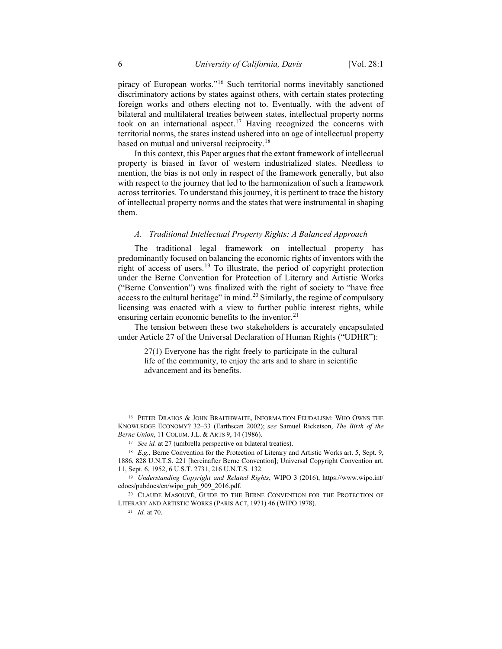piracy of European works."[16](#page-5-0) Such territorial norms inevitably sanctioned discriminatory actions by states against others, with certain states protecting foreign works and others electing not to. Eventually, with the advent of bilateral and multilateral treaties between states, intellectual property norms took on an international aspect.<sup>[17](#page-5-1)</sup> Having recognized the concerns with territorial norms, the states instead ushered into an age of intellectual property based on mutual and universal reciprocity.<sup>[18](#page-5-2)</sup>

In this context, this Paper argues that the extant framework of intellectual property is biased in favor of western industrialized states. Needless to mention, the bias is not only in respect of the framework generally, but also with respect to the journey that led to the harmonization of such a framework across territories. To understand this journey, it is pertinent to trace the history of intellectual property norms and the states that were instrumental in shaping them.

### *A. Traditional Intellectual Property Rights: A Balanced Approach*

The traditional legal framework on intellectual property has predominantly focused on balancing the economic rights of inventors with the right of access of users.[19](#page-5-3) To illustrate, the period of copyright protection under the Berne Convention for Protection of Literary and Artistic Works ("Berne Convention") was finalized with the right of society to "have free access to the cultural heritage" in mind.<sup>[20](#page-5-4)</sup> Similarly, the regime of compulsory licensing was enacted with a view to further public interest rights, while ensuring certain economic benefits to the inventor.<sup>[21](#page-5-5)</sup>

The tension between these two stakeholders is accurately encapsulated under Article 27 of the Universal Declaration of Human Rights ("UDHR"):

27(1) Everyone has the right freely to participate in the cultural life of the community, to enjoy the arts and to share in scientific advancement and its benefits.

<span id="page-5-1"></span><span id="page-5-0"></span><sup>16</sup> PETER DRAHOS & JOHN BRAITHWAITE, INFORMATION FEUDALISM: WHO OWNS THE KNOWLEDGE ECONOMY? 32–33 (Earthscan 2002); *see* Samuel Ricketson, *The Birth of the Berne Union*, 11 COLUM. J.L. & ARTS 9, 14 (1986).

<sup>&</sup>lt;sup>17</sup> *See id.* at 27 (umbrella perspective on bilateral treaties).

<span id="page-5-2"></span><sup>18</sup> *E.g.*, Berne Convention for the Protection of Literary and Artistic Works art. 5, Sept. 9, 1886, 828 U.N.T.S. 221 [hereinafter Berne Convention]; Universal Copyright Convention art. 11, Sept. 6, 1952, 6 U.S.T. 2731, 216 U.N.T.S. 132.

<span id="page-5-4"></span><span id="page-5-3"></span><sup>19</sup> *Understanding Copyright and Related Rights*, WIPO 3 (2016), https://www.wipo.int/ edocs/pubdocs/en/wipo\_pub\_909\_2016.pdf.

<span id="page-5-5"></span><sup>&</sup>lt;sup>20</sup> CLAUDE MASOUYÉ, GUIDE TO THE BERNE CONVENTION FOR THE PROTECTION OF LITERARY AND ARTISTIC WORKS (PARIS ACT, 1971) 46 (WIPO 1978).

<sup>21</sup> *Id.* at 70.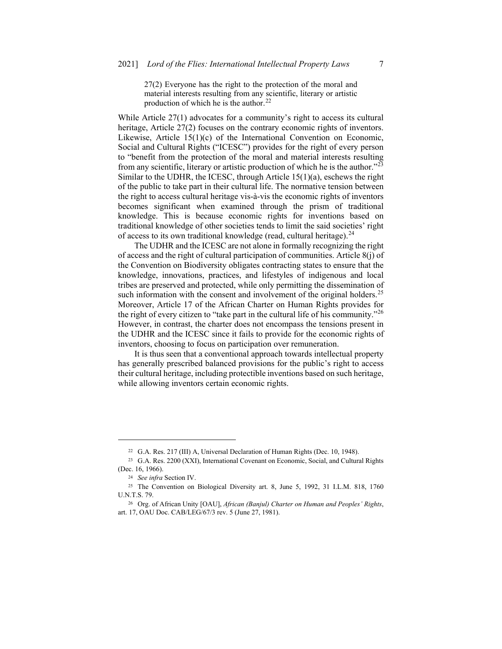27(2) Everyone has the right to the protection of the moral and material interests resulting from any scientific, literary or artistic production of which he is the author.<sup>[22](#page-6-0)</sup>

While Article 27(1) advocates for a community's right to access its cultural heritage, Article 27(2) focuses on the contrary economic rights of inventors. Likewise, Article 15(1)(c) of the International Convention on Economic, Social and Cultural Rights ("ICESC") provides for the right of every person to "benefit from the protection of the moral and material interests resulting from any scientific, literary or artistic production of which he is the author."[23](#page-6-1) Similar to the UDHR, the ICESC, through Article 15(1)(a), eschews the right of the public to take part in their cultural life. The normative tension between the right to access cultural heritage vis-à-vis the economic rights of inventors becomes significant when examined through the prism of traditional knowledge. This is because economic rights for inventions based on traditional knowledge of other societies tends to limit the said societies' right of access to its own traditional knowledge (read, cultural heritage).<sup>[24](#page-6-2)</sup>

The UDHR and the ICESC are not alone in formally recognizing the right of access and the right of cultural participation of communities. Article 8(j) of the Convention on Biodiversity obligates contracting states to ensure that the knowledge, innovations, practices, and lifestyles of indigenous and local tribes are preserved and protected, while only permitting the dissemination of such information with the consent and involvement of the original holders.<sup>[25](#page-6-3)</sup> Moreover, Article 17 of the African Charter on Human Rights provides for the right of every citizen to "take part in the cultural life of his community." $^{26}$  $^{26}$  $^{26}$ However, in contrast, the charter does not encompass the tensions present in the UDHR and the ICESC since it fails to provide for the economic rights of inventors, choosing to focus on participation over remuneration.

It is thus seen that a conventional approach towards intellectual property has generally prescribed balanced provisions for the public's right to access their cultural heritage, including protectible inventions based on such heritage, while allowing inventors certain economic rights.

<sup>22</sup> G.A. Res. 217 (III) A, Universal Declaration of Human Rights (Dec. 10, 1948).

<span id="page-6-1"></span><span id="page-6-0"></span><sup>23</sup> G.A. Res. 2200 (XXI), International Covenant on Economic, Social, and Cultural Rights (Dec. 16, 1966).

<sup>24</sup> *See infra* Section IV.

<span id="page-6-4"></span><span id="page-6-3"></span><span id="page-6-2"></span><sup>25</sup> The Convention on Biological Diversity art. 8, June 5, 1992, 31 I.L.M. 818, 1760 U.N.T.S. 79.

<sup>26</sup> Org. of African Unity [OAU], *African (Banjul) Charter on Human and Peoples' Rights*, art. 17, OAU Doc. CAB/LEG/67/3 rev. 5 (June 27, 1981).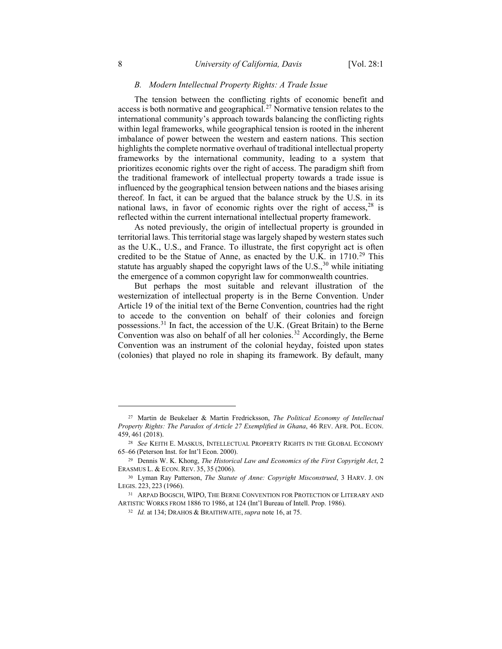### *B. Modern Intellectual Property Rights: A Trade Issue*

The tension between the conflicting rights of economic benefit and access is both normative and geographical.<sup>[27](#page-7-0)</sup> Normative tension relates to the international community's approach towards balancing the conflicting rights within legal frameworks, while geographical tension is rooted in the inherent imbalance of power between the western and eastern nations. This section highlights the complete normative overhaul of traditional intellectual property frameworks by the international community, leading to a system that prioritizes economic rights over the right of access. The paradigm shift from the traditional framework of intellectual property towards a trade issue is influenced by the geographical tension between nations and the biases arising thereof. In fact, it can be argued that the balance struck by the U.S. in its national laws, in favor of economic rights over the right of access,  $28$  is reflected within the current international intellectual property framework.

As noted previously, the origin of intellectual property is grounded in territorial laws. This territorial stage was largely shaped by western states such as the U.K., U.S., and France. To illustrate, the first copyright act is often credited to be the Statue of Anne, as enacted by the U.K. in 1710.<sup>[29](#page-7-2)</sup> This statute has arguably shaped the copyright laws of the  $U.S.,<sup>30</sup>$  $U.S.,<sup>30</sup>$  $U.S.,<sup>30</sup>$  while initiating the emergence of a common copyright law for commonwealth countries.

But perhaps the most suitable and relevant illustration of the westernization of intellectual property is in the Berne Convention. Under Article 19 of the initial text of the Berne Convention, countries had the right to accede to the convention on behalf of their colonies and foreign possessions.[31](#page-7-4) In fact, the accession of the U.K. (Great Britain) to the Berne Convention was also on behalf of all her colonies.<sup>[32](#page-7-5)</sup> Accordingly, the Berne Convention was an instrument of the colonial heyday, foisted upon states (colonies) that played no role in shaping its framework. By default, many

<span id="page-7-0"></span><sup>27</sup> Martin de Beukelaer & Martin Fredricksson, *The Political Economy of Intellectual Property Rights: The Paradox of Article 27 Exemplified in Ghana*, 46 REV. AFR. POL. ECON. 459, 461 (2018).

<span id="page-7-2"></span><span id="page-7-1"></span><sup>28</sup> *See* KEITH E. MASKUS, INTELLECTUAL PROPERTY RIGHTS IN THE GLOBAL ECONOMY 65–66 (Peterson Inst. for Int'l Econ. 2000).

<span id="page-7-3"></span><sup>29</sup> Dennis W. K. Khong, *The Historical Law and Economics of the First Copyright Act*, 2 ERASMUS L. & ECON. REV. 35, 35 (2006).

<span id="page-7-4"></span><sup>30</sup> Lyman Ray Patterson, *The Statute of Anne: Copyright Misconstrued*, 3 HARV. J. ON LEGIS. 223, 223 (1966).

<span id="page-7-5"></span><sup>31</sup> ARPAD BOGSCH, WIPO, THE BERNE CONVENTION FOR PROTECTION OF LITERARY AND ARTISTIC WORKS FROM 1886 TO 1986, at 124 (Int'l Bureau of Intell. Prop. 1986).

<sup>32</sup> *Id.* at 134; DRAHOS & BRAITHWAITE, *supra* note 16, at 75.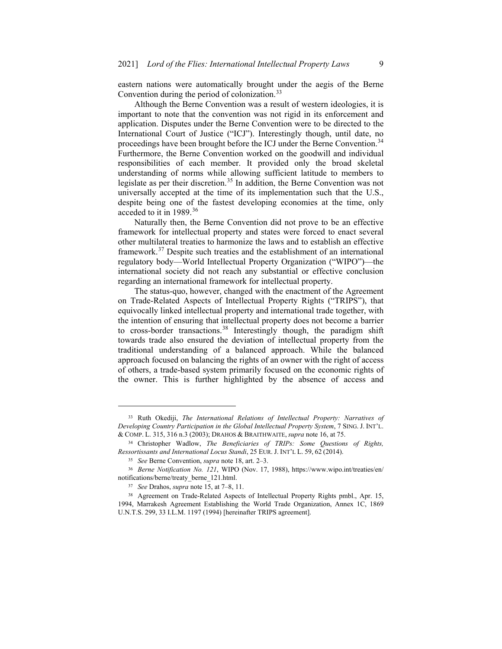eastern nations were automatically brought under the aegis of the Berne Convention during the period of colonization.<sup>[33](#page-8-0)</sup>

Although the Berne Convention was a result of western ideologies, it is important to note that the convention was not rigid in its enforcement and application. Disputes under the Berne Convention were to be directed to the International Court of Justice ("ICJ"). Interestingly though, until date, no proceedings have been brought before the ICJ under the Berne Convention.<sup>[34](#page-8-1)</sup> Furthermore, the Berne Convention worked on the goodwill and individual responsibilities of each member. It provided only the broad skeletal understanding of norms while allowing sufficient latitude to members to legislate as per their discretion.<sup>[35](#page-8-2)</sup> In addition, the Berne Convention was not universally accepted at the time of its implementation such that the U.S., despite being one of the fastest developing economies at the time, only acceded to it in 1989.[36](#page-8-3)

Naturally then, the Berne Convention did not prove to be an effective framework for intellectual property and states were forced to enact several other multilateral treaties to harmonize the laws and to establish an effective framework.<sup>[37](#page-8-4)</sup> Despite such treaties and the establishment of an international regulatory body—World Intellectual Property Organization ("WIPO")—the international society did not reach any substantial or effective conclusion regarding an international framework for intellectual property.

The status-quo, however, changed with the enactment of the Agreement on Trade-Related Aspects of Intellectual Property Rights ("TRIPS"), that equivocally linked intellectual property and international trade together, with the intention of ensuring that intellectual property does not become a barrier to cross-border transactions.<sup>[38](#page-8-5)</sup> Interestingly though, the paradigm shift towards trade also ensured the deviation of intellectual property from the traditional understanding of a balanced approach. While the balanced approach focused on balancing the rights of an owner with the right of access of others, a trade-based system primarily focused on the economic rights of the owner. This is further highlighted by the absence of access and

<span id="page-8-0"></span><sup>33</sup> Ruth Okediji, *The International Relations of Intellectual Property: Narratives of Developing Country Participation in the Global Intellectual Property System*, 7 SING. J. INT'L. & COMP. L. 315, 316 n.3 (2003); DRAHOS & BRAITHWAITE, *supra* note 16, at 75.

<span id="page-8-2"></span><span id="page-8-1"></span><sup>34</sup> Christopher Wadlow, *The Beneficiaries of TRIPs: Some Questions of Rights, Ressortissants and International Locus Standi*, 25 EUR. J. INT'L L. 59, 62 (2014).

<sup>35</sup> *See* Berne Convention, *supra* note 18, art. 2–3.

<span id="page-8-4"></span><span id="page-8-3"></span><sup>36</sup> *Berne Notification No. 121*, WIPO (Nov. 17, 1988), https://www.wipo.int/treaties/en/ notifications/berne/treaty\_berne\_121.html.

<sup>37</sup> *See* Drahos, *supra* note 15, at 7–8, 11.

<span id="page-8-5"></span><sup>38</sup> Agreement on Trade-Related Aspects of Intellectual Property Rights pmbl., Apr. 15, 1994, Marrakesh Agreement Establishing the World Trade Organization, Annex 1C, 1869 U.N.T.S. 299, 33 I.L.M. 1197 (1994) [hereinafter TRIPS agreement].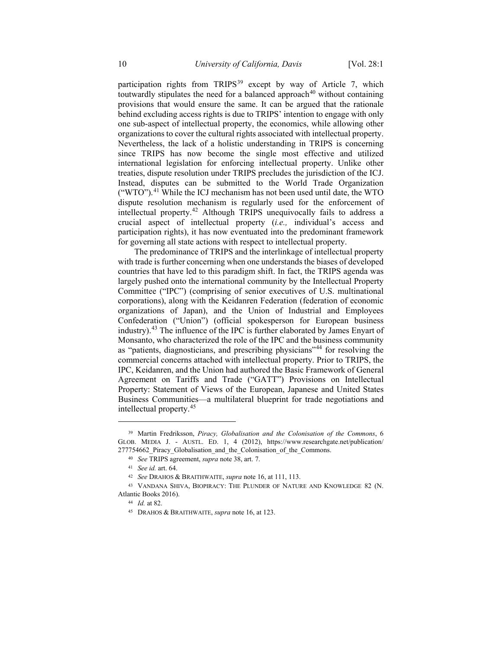participation rights from TRIPS<sup>[39](#page-9-0)</sup> except by way of Article 7, which toutwardly stipulates the need for a balanced approach $40$  without containing provisions that would ensure the same. It can be argued that the rationale behind excluding access rights is due to TRIPS' intention to engage with only one sub-aspect of intellectual property, the economics, while allowing other organizations to cover the cultural rights associated with intellectual property. Nevertheless, the lack of a holistic understanding in TRIPS is concerning since TRIPS has now become the single most effective and utilized international legislation for enforcing intellectual property. Unlike other treaties, dispute resolution under TRIPS precludes the jurisdiction of the ICJ. Instead, disputes can be submitted to the World Trade Organization ("WTO").[41](#page-9-2) While the ICJ mechanism has not been used until date, the WTO dispute resolution mechanism is regularly used for the enforcement of intellectual property.[42](#page-9-3) Although TRIPS unequivocally fails to address a crucial aspect of intellectual property (*i.e.,* individual's access and participation rights), it has now eventuated into the predominant framework for governing all state actions with respect to intellectual property.

The predominance of TRIPS and the interlinkage of intellectual property with trade is further concerning when one understands the biases of developed countries that have led to this paradigm shift. In fact, the TRIPS agenda was largely pushed onto the international community by the Intellectual Property Committee ("IPC") (comprising of senior executives of U.S. multinational corporations), along with the Keidanren Federation (federation of economic organizations of Japan), and the Union of Industrial and Employees Confederation ("Union") (official spokesperson for European business industry).[43](#page-9-4) The influence of the IPC is further elaborated by James Enyart of Monsanto, who characterized the role of the IPC and the business community as "patients, diagnosticians, and prescribing physicians"[44](#page-9-5) for resolving the commercial concerns attached with intellectual property. Prior to TRIPS, the IPC, Keidanren, and the Union had authored the Basic Framework of General Agreement on Tariffs and Trade ("GATT") Provisions on Intellectual Property: Statement of Views of the European, Japanese and United States Business Communities—a multilateral blueprint for trade negotiations and intellectual property.[45](#page-10-0)

<span id="page-9-1"></span><span id="page-9-0"></span><sup>39</sup> Martin Fredriksson, *Piracy, Globalisation and the Colonisation of the Commons*, 6 GLOB. MEDIA J. - AUSTL. ED. 1, 4 (2012), https://www.researchgate.net/publication/ 277754662 Piracy Globalisation and the Colonisation of the Commons.

<sup>40</sup> *See* TRIPS agreement, *supra* note 38, art. 7.

<sup>41</sup> *See id.* art. 64.

<sup>42</sup> *See* DRAHOS & BRAITHWAITE, *supra* note 16, at 111, 113.

<span id="page-9-5"></span><span id="page-9-4"></span><span id="page-9-3"></span><span id="page-9-2"></span><sup>43</sup> VANDANA SHIVA, BIOPIRACY: THE PLUNDER OF NATURE AND KNOWLEDGE 82 (N. Atlantic Books 2016).

<sup>44</sup> *Id.* at 82.

<sup>45</sup> DRAHOS & BRAITHWAITE, *supra* note 16, at 123.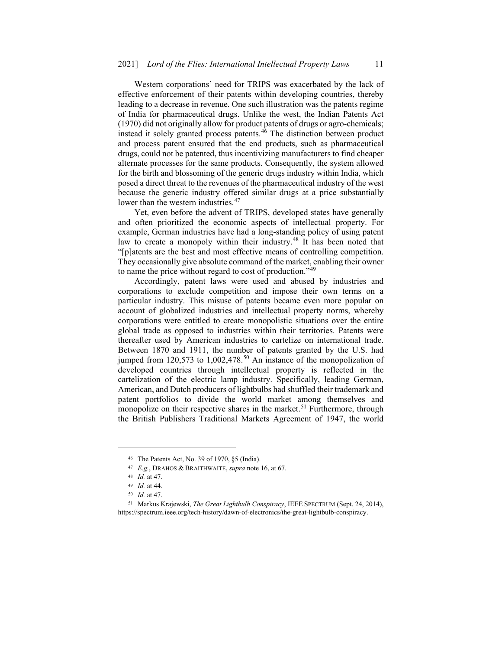Western corporations' need for TRIPS was exacerbated by the lack of effective enforcement of their patents within developing countries, thereby leading to a decrease in revenue. One such illustration was the patents regime of India for pharmaceutical drugs. Unlike the west, the Indian Patents Act (1970) did not originally allow for product patents of drugs or agro-chemicals; instead it solely granted process patents.[46](#page-10-1) The distinction between product and process patent ensured that the end products, such as pharmaceutical drugs, could not be patented, thus incentivizing manufacturers to find cheaper alternate processes for the same products. Consequently, the system allowed for the birth and blossoming of the generic drugs industry within India, which posed a direct threat to the revenues of the pharmaceutical industry of the west because the generic industry offered similar drugs at a price substantially lower than the western industries.<sup>[47](#page-10-2)</sup>

Yet, even before the advent of TRIPS, developed states have generally and often prioritized the economic aspects of intellectual property. For example, German industries have had a long-standing policy of using patent law to create a monopoly within their industry.<sup>[48](#page-10-3)</sup> It has been noted that "[p]atents are the best and most effective means of controlling competition. They occasionally give absolute command of the market, enabling their owner to name the price without regard to cost of production."[49](#page-10-4)

Accordingly, patent laws were used and abused by industries and corporations to exclude competition and impose their own terms on a particular industry. This misuse of patents became even more popular on account of globalized industries and intellectual property norms, whereby corporations were entitled to create monopolistic situations over the entire global trade as opposed to industries within their territories. Patents were thereafter used by American industries to cartelize on international trade. Between 1870 and 1911, the number of patents granted by the U.S. had jumped from 120,573 to 1,002,478.<sup>[50](#page-10-5)</sup> An instance of the monopolization of developed countries through intellectual property is reflected in the cartelization of the electric lamp industry. Specifically, leading German, American, and Dutch producers of lightbulbs had shuffled their trademark and patent portfolios to divide the world market among themselves and monopolize on their respective shares in the market.<sup>[51](#page-11-0)</sup> Furthermore, through the British Publishers Traditional Markets Agreement of 1947, the world

<sup>46</sup> The Patents Act, No. 39 of 1970, §5 (India).

<sup>47</sup> *E.g.*, DRAHOS & BRAITHWAITE, *supra* note 16, at 67.

<sup>48</sup> *Id.* at 47.

<sup>49</sup> *Id.* at 44.

<sup>50</sup> *Id.* at 47.

<span id="page-10-5"></span><span id="page-10-4"></span><span id="page-10-3"></span><span id="page-10-2"></span><span id="page-10-1"></span><span id="page-10-0"></span><sup>51</sup> Markus Krajewski, *The Great Lightbulb Conspiracy*, IEEE SPECTRUM (Sept. 24, 2014), https://spectrum.ieee.org/tech-history/dawn-of-electronics/the-great-lightbulb-conspiracy.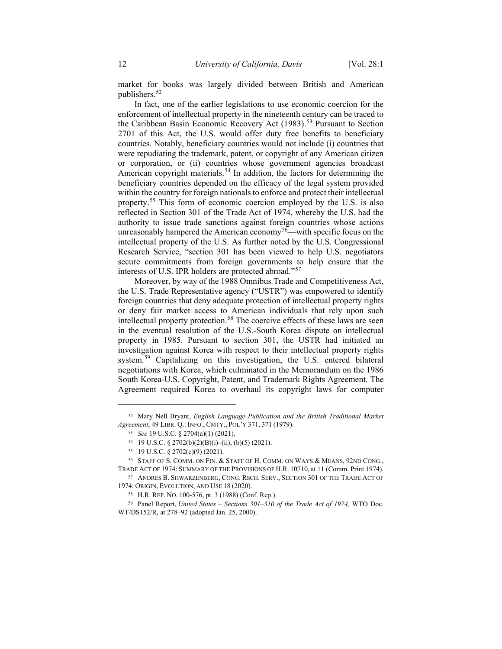market for books was largely divided between British and American publishers.[52](#page-11-1)

In fact, one of the earlier legislations to use economic coercion for the enforcement of intellectual property in the nineteenth century can be traced to the Caribbean Basin Economic Recovery Act (1983).<sup>[53](#page-11-2)</sup> Pursuant to Section 2701 of this Act, the U.S. would offer duty free benefits to beneficiary countries. Notably, beneficiary countries would not include (i) countries that were repudiating the trademark, patent, or copyright of any American citizen or corporation, or (ii) countries whose government agencies broadcast American copyright materials.<sup>[54](#page-11-3)</sup> In addition, the factors for determining the beneficiary countries depended on the efficacy of the legal system provided within the country for foreign nationals to enforce and protect their intellectual property.[55](#page-11-4) This form of economic coercion employed by the U.S. is also reflected in Section 301 of the Trade Act of 1974, whereby the U.S. had the authority to issue trade sanctions against foreign countries whose actions unreasonably hampered the American economy<sup>56</sup>—with specific focus on the intellectual property of the U.S. As further noted by the U.S. Congressional Research Service, "section 301 has been viewed to help U.S. negotiators secure commitments from foreign governments to help ensure that the interests of U.S. IPR holders are protected abroad."[57](#page-11-6)

Moreover, by way of the 1988 Omnibus Trade and Competitiveness Act, the U.S. Trade Representative agency ("USTR") was empowered to identify foreign countries that deny adequate protection of intellectual property rights or deny fair market access to American individuals that rely upon such intellectual property protection.<sup>[58](#page-11-7)</sup> The coercive effects of these laws are seen in the eventual resolution of the U.S.-South Korea dispute on intellectual property in 1985. Pursuant to section 301, the USTR had initiated an investigation against Korea with respect to their intellectual property rights system.<sup>[59](#page-12-0)</sup> Capitalizing on this investigation, the U.S. entered bilateral negotiations with Korea, which culminated in the Memorandum on the 1986 South Korea-U.S. Copyright, Patent, and Trademark Rights Agreement. The Agreement required Korea to overhaul its copyright laws for computer

<span id="page-11-1"></span><span id="page-11-0"></span><sup>52</sup> Mary Nell Bryant, *English Language Publication and the British Traditional Market Agreement*, 49 LIBR. Q.: INFO., CMTY., POL'Y 371, 371 (1979).

<sup>53</sup> *See* 19 U.S.C. § 2704(a)(1) (2021).

<sup>54</sup> 19 U.S.C. § 2702(b)(2)(B)(i)–(ii), (b)(5) (2021).

<sup>55</sup> 19 U.S.C. § 2702(c)(9) (2021).

<span id="page-11-5"></span><span id="page-11-4"></span><span id="page-11-3"></span><span id="page-11-2"></span><sup>56</sup> STAFF OF S. COMM. ON FIN. & STAFF OF H. COMM. ON WAYS & MEANS, 92ND CONG., TRADE ACT OF 1974: SUMMARY OF THE PROVISIONS OF H.R. 10710, at 11 (Comm. Print 1974).

<span id="page-11-6"></span><sup>57</sup> ANDRES B. SHWARZENBERG, CONG. RSCH. SERV., SECTION 301 OF THE TRADE ACT OF 1974: ORIGIN, EVOLUTION, AND USE 18 (2020).

<sup>58</sup> H.R. REP. NO. 100-576, pt. 3 (1988) (Conf. Rep.).

<span id="page-11-7"></span><sup>59</sup> Panel Report, *United States – Sections 301–310 of the Trade Act of 1974*, WTO Doc. WT/DS152/R, at 278–92 (adopted Jan. 25, 2000).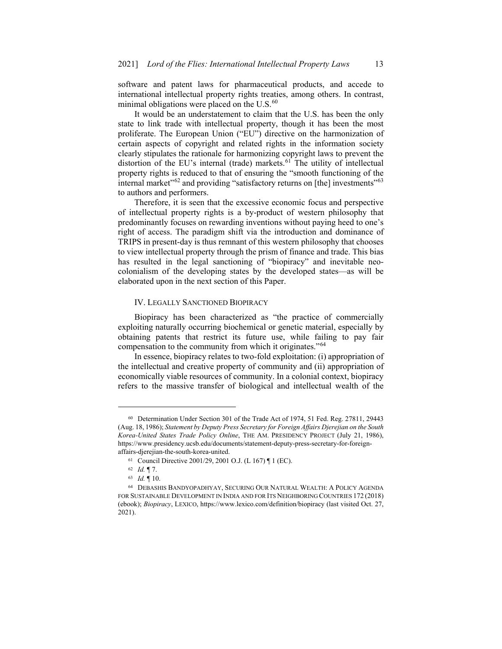software and patent laws for pharmaceutical products, and accede to international intellectual property rights treaties, among others. In contrast, minimal obligations were placed on the  $U.S.^{60}$  $U.S.^{60}$  $U.S.^{60}$ 

It would be an understatement to claim that the U.S. has been the only state to link trade with intellectual property, though it has been the most proliferate. The European Union ("EU") directive on the harmonization of certain aspects of copyright and related rights in the information society clearly stipulates the rationale for harmonizing copyright laws to prevent the distortion of the EU's internal (trade) markets.<sup>[61](#page-12-2)</sup> The utility of intellectual property rights is reduced to that of ensuring the "smooth functioning of the internal market"<sup>[62](#page-12-3)</sup> and providing "satisfactory returns on [the] investments"<sup>[63](#page-12-4)</sup> to authors and performers.

Therefore, it is seen that the excessive economic focus and perspective of intellectual property rights is a by-product of western philosophy that predominantly focuses on rewarding inventions without paying heed to one's right of access. The paradigm shift via the introduction and dominance of TRIPS in present-day is thus remnant of this western philosophy that chooses to view intellectual property through the prism of finance and trade. This bias has resulted in the legal sanctioning of "biopiracy" and inevitable neocolonialism of the developing states by the developed states—as will be elaborated upon in the next section of this Paper.

### IV. LEGALLY SANCTIONED BIOPIRACY

Biopiracy has been characterized as "the practice of commercially exploiting naturally occurring biochemical or genetic material, especially by obtaining patents that restrict its future use, while failing to pay fair compensation to the community from which it originates."[64](#page-12-5)

In essence, biopiracy relates to two-fold exploitation: (i) appropriation of the intellectual and creative property of community and (ii) appropriation of economically viable resources of community. In a colonial context, biopiracy refers to the massive transfer of biological and intellectual wealth of the

<span id="page-12-1"></span><span id="page-12-0"></span><sup>60</sup> Determination Under Section 301 of the Trade Act of 1974, 51 Fed. Reg. 27811, 29443 (Aug. 18, 1986); *Statement by Deputy Press Secretary for Foreign Affairs Djerejian on the South Korea-United States Trade Policy Online*, THE AM. PRESIDENCY PROJECT (July 21, 1986), https://www.presidency.ucsb.edu/documents/statement-deputy-press-secretary-for-foreignaffairs-djerejian-the-south-korea-united.

<sup>61</sup> Council Directive 2001/29, 2001 O.J. (L 167) ¶ 1 (EC).

<sup>62</sup> *Id.* ¶ 7.

<sup>63</sup> *Id.* ¶ 10.

<span id="page-12-5"></span><span id="page-12-4"></span><span id="page-12-3"></span><span id="page-12-2"></span><sup>64</sup> DEBASHIS BANDYOPADHYAY, SECURING OUR NATURAL WEALTH: A POLICY AGENDA FOR SUSTAINABLE DEVELOPMENT IN INDIA AND FOR ITS NEIGHBORING COUNTRIES 172 (2018) (ebook); *Biopiracy*, LEXICO, https://www.lexico.com/definition/biopiracy (last visited Oct. 27, 2021).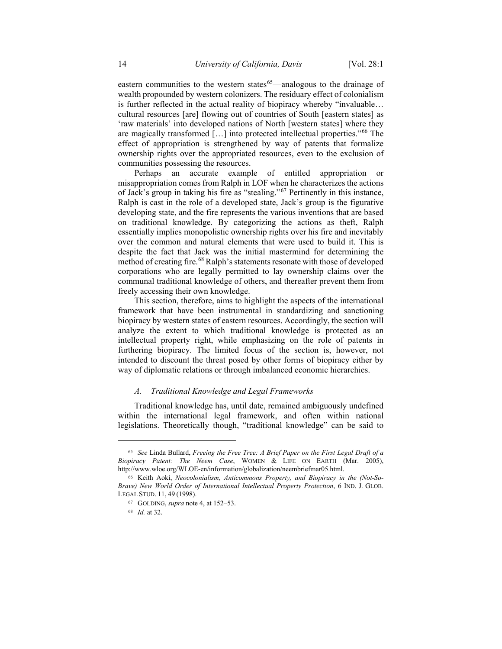eastern communities to the western states $65$ —analogous to the drainage of wealth propounded by western colonizers. The residuary effect of colonialism is further reflected in the actual reality of biopiracy whereby "invaluable… cultural resources [are] flowing out of countries of South [eastern states] as 'raw materials' into developed nations of North [western states] where they are magically transformed […] into protected intellectual properties."[66](#page-13-1) The effect of appropriation is strengthened by way of patents that formalize ownership rights over the appropriated resources, even to the exclusion of communities possessing the resources.

Perhaps an accurate example of entitled appropriation or misappropriation comes from Ralph in LOF when he characterizes the actions of Jack's group in taking his fire as "stealing."[67](#page-13-2) Pertinently in this instance, Ralph is cast in the role of a developed state, Jack's group is the figurative developing state, and the fire represents the various inventions that are based on traditional knowledge. By categorizing the actions as theft, Ralph essentially implies monopolistic ownership rights over his fire and inevitably over the common and natural elements that were used to build it. This is despite the fact that Jack was the initial mastermind for determining the method of creating fire.<sup>[68](#page-13-3)</sup> Ralph's statements resonate with those of developed corporations who are legally permitted to lay ownership claims over the communal traditional knowledge of others, and thereafter prevent them from freely accessing their own knowledge.

This section, therefore, aims to highlight the aspects of the international framework that have been instrumental in standardizing and sanctioning biopiracy by western states of eastern resources. Accordingly, the section will analyze the extent to which traditional knowledge is protected as an intellectual property right, while emphasizing on the role of patents in furthering biopiracy. The limited focus of the section is, however, not intended to discount the threat posed by other forms of biopiracy either by way of diplomatic relations or through imbalanced economic hierarchies.

#### *A. Traditional Knowledge and Legal Frameworks*

Traditional knowledge has, until date, remained ambiguously undefined within the international legal framework, and often within national legislations. Theoretically though, "traditional knowledge" can be said to

<span id="page-13-0"></span><sup>65</sup> *See* Linda Bullard, *Freeing the Free Tree: A Brief Paper on the First Legal Draft of a Biopiracy Patent: The Neem Case*, WOMEN & LIFE ON EARTH (Mar. 2005), http://www.wloe.org/WLOE-en/information/globalization/neembriefmar05.html.

<span id="page-13-3"></span><span id="page-13-2"></span><span id="page-13-1"></span><sup>66</sup> Keith Aoki, *Neocolonialism, Anticommons Property, and Biopiracy in the (Not-So-Brave) New World Order of International Intellectual Property Protection*, 6 IND. J. GLOB. LEGAL STUD. 11, 49 (1998).

<sup>67</sup> GOLDING, *supra* note 4, at 152–53.

<sup>68</sup> *Id.* at 32.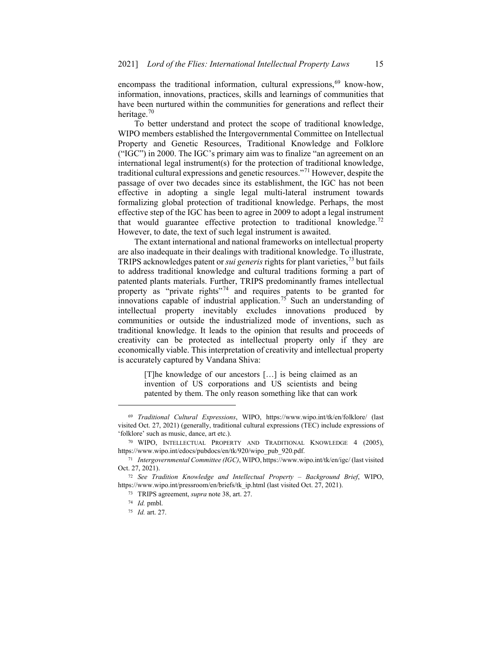encompass the traditional information, cultural expressions,  $69$  know-how, information, innovations, practices, skills and learnings of communities that have been nurtured within the communities for generations and reflect their heritage.[70](#page-14-1)

To better understand and protect the scope of traditional knowledge, WIPO members established the Intergovernmental Committee on Intellectual Property and Genetic Resources, Traditional Knowledge and Folklore ("IGC") in 2000. The IGC's primary aim was to finalize "an agreement on an international legal instrument(s) for the protection of traditional knowledge, traditional cultural expressions and genetic resources."[71](#page-14-2) However, despite the passage of over two decades since its establishment, the IGC has not been effective in adopting a single legal multi-lateral instrument towards formalizing global protection of traditional knowledge. Perhaps, the most effective step of the IGC has been to agree in 2009 to adopt a legal instrument that would guarantee effective protection to traditional knowledge.<sup>[72](#page-14-3)</sup> However, to date, the text of such legal instrument is awaited.

The extant international and national frameworks on intellectual property are also inadequate in their dealings with traditional knowledge. To illustrate, TRIPS acknowledges patent or *sui generis* rights for plant varieties,[73](#page-14-4) but fails to address traditional knowledge and cultural traditions forming a part of patented plants materials. Further, TRIPS predominantly frames intellectual property as "private rights"<sup>[74](#page-14-5)</sup> and requires patents to be granted for innovations capable of industrial application.<sup>[75](#page-14-6)</sup> Such an understanding of intellectual property inevitably excludes innovations produced by communities or outside the industrialized mode of inventions, such as traditional knowledge. It leads to the opinion that results and proceeds of creativity can be protected as intellectual property only if they are economically viable. This interpretation of creativity and intellectual property is accurately captured by Vandana Shiva:

> [T]he knowledge of our ancestors […] is being claimed as an invention of US corporations and US scientists and being patented by them. The only reason something like that can work

 $\overline{a}$ 

<sup>75</sup> *Id.* art. 27.

<span id="page-14-0"></span><sup>69</sup> *Traditional Cultural Expressions*, WIPO, https://www.wipo.int/tk/en/folklore/ (last visited Oct. 27, 2021) (generally, traditional cultural expressions (TEC) include expressions of 'folklore' such as music, dance, art etc.).

<span id="page-14-2"></span><span id="page-14-1"></span><sup>70</sup> WIPO, INTELLECTUAL PROPERTY AND TRADITIONAL KNOWLEDGE 4 (2005), https://www.wipo.int/edocs/pubdocs/en/tk/920/wipo\_pub\_920.pdf.

<span id="page-14-3"></span><sup>71</sup> *Intergovernmental Committee (IGC)*, WIPO, https://www.wipo.int/tk/en/igc/ (last visited Oct. 27, 2021).

<span id="page-14-6"></span><span id="page-14-5"></span><span id="page-14-4"></span><sup>72</sup> *See Tradition Knowledge and Intellectual Property – Background Brief*, WIPO, https://www.wipo.int/pressroom/en/briefs/tk\_ip.html (last visited Oct. 27, 2021).

<sup>73</sup> TRIPS agreement, *supra* note 38, art. 27.

<sup>74</sup> *Id.* pmbl.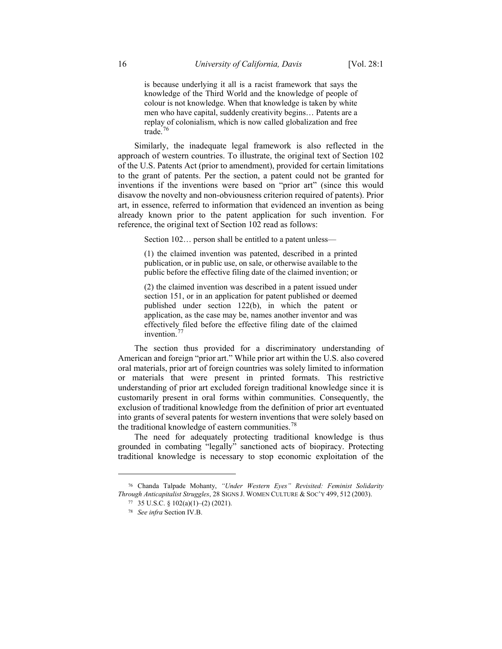is because underlying it all is a racist framework that says the knowledge of the Third World and the knowledge of people of colour is not knowledge. When that knowledge is taken by white men who have capital, suddenly creativity begins… Patents are a replay of colonialism, which is now called globalization and free trade.[76](#page-15-0)

Similarly, the inadequate legal framework is also reflected in the approach of western countries. To illustrate, the original text of Section 102 of the U.S. Patents Act (prior to amendment), provided for certain limitations to the grant of patents. Per the section, a patent could not be granted for inventions if the inventions were based on "prior art" (since this would disavow the novelty and non-obviousness criterion required of patents). Prior art, in essence, referred to information that evidenced an invention as being already known prior to the patent application for such invention. For reference, the original text of Section 102 read as follows:

Section 102… person shall be entitled to a patent unless—

(1) the claimed invention was patented, described in a printed publication, or in public use, on sale, or otherwise available to the public before the effective filing date of the claimed invention; or

(2) the claimed invention was described in a patent issued under section 151, or in an application for patent published or deemed published under section 122(b), in which the patent or application, as the case may be, names another inventor and was effectively filed before the effective filing date of the claimed invention.<sup>[77](#page-15-1)</sup>

The section thus provided for a discriminatory understanding of American and foreign "prior art." While prior art within the U.S. also covered oral materials, prior art of foreign countries was solely limited to information or materials that were present in printed formats. This restrictive understanding of prior art excluded foreign traditional knowledge since it is customarily present in oral forms within communities. Consequently, the exclusion of traditional knowledge from the definition of prior art eventuated into grants of several patents for western inventions that were solely based on the traditional knowledge of eastern communities.<sup>[78](#page-16-0)</sup>

The need for adequately protecting traditional knowledge is thus grounded in combating "legally" sanctioned acts of biopiracy. Protecting traditional knowledge is necessary to stop economic exploitation of the

<span id="page-15-1"></span><span id="page-15-0"></span><sup>76</sup> Chanda Talpade Mohanty, *"Under Western Eyes" Revisited: Feminist Solidarity Through Anticapitalist Struggles*, 28 SIGNS J. WOMEN CULTURE & SOC'Y 499, 512 (2003).

<sup>77</sup> 35 U.S.C. § 102(a)(1)–(2) (2021).

<sup>78</sup> *See infra* Section IV.B.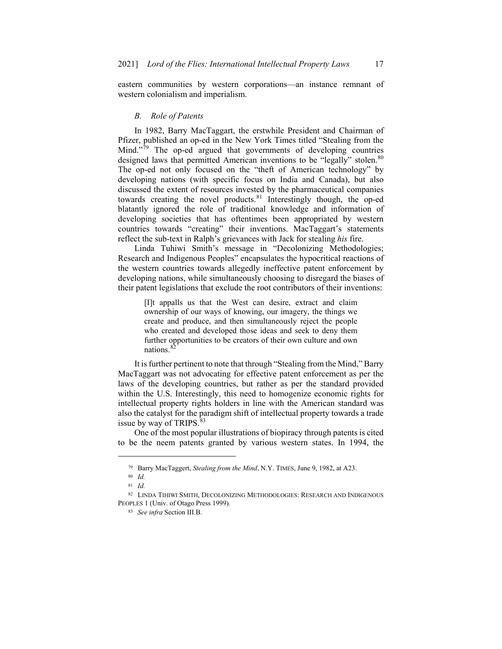eastern communities by western corporations—an instance remnant of western colonialism and imperialism.

### *B. Role of Patents*

In 1982, Barry MacTaggart, the erstwhile President and Chairman of Pfizer, published an op-ed in the New York Times titled "Stealing from the Mind. $\frac{1}{79}$  $\frac{1}{79}$  $\frac{1}{79}$  The op-ed argued that governments of developing countries designed laws that permitted American inventions to be "legally" stolen.<sup>[80](#page-16-2)</sup> The op-ed not only focused on the "theft of American technology" by developing nations (with specific focus on India and Canada), but also discussed the extent of resources invested by the pharmaceutical companies towards creating the novel products.<sup>[81](#page-16-3)</sup> Interestingly though, the op-ed blatantly ignored the role of traditional knowledge and information of developing societies that has oftentimes been appropriated by western countries towards "creating" their inventions. MacTaggart's statements reflect the sub-text in Ralph's grievances with Jack for stealing *his* fire.

Linda Tuhiwi Smith's message in "Decolonizing Methodologies; Research and Indigenous Peoples" encapsulates the hypocritical reactions of the western countries towards allegedly ineffective patent enforcement by developing nations, while simultaneously choosing to disregard the biases of their patent legislations that exclude the root contributors of their inventions:

[I]t appalls us that the West can desire, extract and claim ownership of our ways of knowing, our imagery, the things we create and produce, and then simultaneously reject the people who created and developed those ideas and seek to deny them further opportunities to be creators of their own culture and own nations.<sup>[82](#page-17-0)</sup>

It is further pertinent to note that through "Stealing from the Mind," Barry MacTaggart was not advocating for effective patent enforcement as per the laws of the developing countries, but rather as per the standard provided within the U.S. Interestingly, this need to homogenize economic rights for intellectual property rights holders in line with the American standard was also the catalyst for the paradigm shift of intellectual property towards a trade issue by way of TRIPS.<sup>[83](#page-17-1)</sup>

One of the most popular illustrations of biopiracy through patents is cited to be the neem patents granted by various western states. In 1994, the

<sup>79</sup> Barry MacTaggert, *Stealing from the Mind*, N.Y. TIMES, June 9, 1982, at A23.

<sup>80</sup> *Id.*

<sup>81</sup> *Id.*

<span id="page-16-3"></span><span id="page-16-2"></span><span id="page-16-1"></span><span id="page-16-0"></span><sup>82</sup> LINDA TIHIWI SMITH, DECOLONIZING METHODOLOGIES: RESEARCH AND INDIGENOUS PEOPLES 1 (Univ. of Otago Press 1999).

<sup>83</sup> *See infra* Section III.B.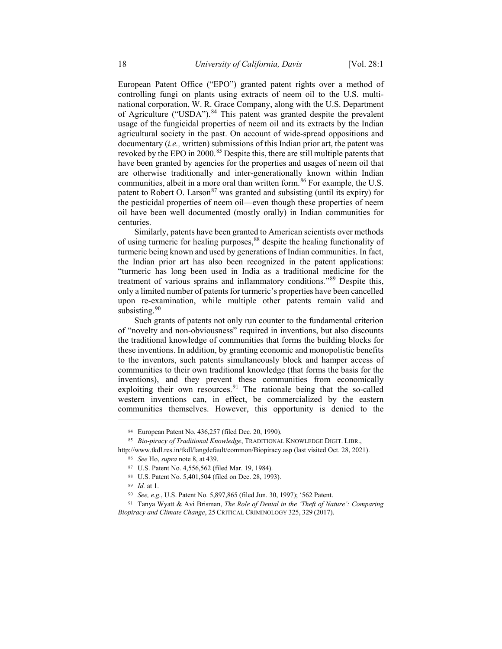European Patent Office ("EPO") granted patent rights over a method of controlling fungi on plants using extracts of neem oil to the U.S. multinational corporation, W. R. Grace Company, along with the U.S. Department of Agriculture ("USDA").<sup>[84](#page-17-2)</sup> This patent was granted despite the prevalent usage of the fungicidal properties of neem oil and its extracts by the Indian agricultural society in the past. On account of wide-spread oppositions and documentary (*i.e.,* written) submissions of this Indian prior art, the patent was revoked by the EPO in 2000.<sup>[85](#page-17-3)</sup> Despite this, there are still multiple patents that have been granted by agencies for the properties and usages of neem oil that are otherwise traditionally and inter-generationally known within Indian communities, albeit in a more oral than written form.<sup>[86](#page-17-4)</sup> For example, the U.S. patent to Robert O. Larson<sup>[87](#page-17-5)</sup> was granted and subsisting (until its expiry) for the pesticidal properties of neem oil—even though these properties of neem oil have been well documented (mostly orally) in Indian communities for centuries.

Similarly, patents have been granted to American scientists over methods of using turmeric for healing purposes,<sup>[88](#page-17-6)</sup> despite the healing functionality of turmeric being known and used by generations of Indian communities. In fact, the Indian prior art has also been recognized in the patent applications: "turmeric has long been used in India as a traditional medicine for the treatment of various sprains and inflammatory conditions*.*"[89](#page-17-7) Despite this, only a limited number of patents for turmeric's properties have been cancelled upon re-examination, while multiple other patents remain valid and subsisting.<sup>[90](#page-18-0)</sup>

Such grants of patents not only run counter to the fundamental criterion of "novelty and non-obviousness" required in inventions, but also discounts the traditional knowledge of communities that forms the building blocks for these inventions. In addition, by granting economic and monopolistic benefits to the inventors, such patents simultaneously block and hamper access of communities to their own traditional knowledge (that forms the basis for the inventions), and they prevent these communities from economically exploiting their own resources.<sup>[91](#page-18-1)</sup> The rationale being that the so-called western inventions can, in effect, be commercialized by the eastern communities themselves. However, this opportunity is denied to the

<sup>84</sup> European Patent No. 436,257 (filed Dec. 20, 1990).

<sup>85</sup> *Bio-piracy of Traditional Knowledge*, TRADITIONAL KNOWLEDGE DIGIT. LIBR.,

<span id="page-17-4"></span><span id="page-17-3"></span><span id="page-17-2"></span><span id="page-17-1"></span><span id="page-17-0"></span>http://www.tkdl.res.in/tkdl/langdefault/common/Biopiracy.asp (last visited Oct. 28, 2021).

<sup>86</sup> *See* Ho, *supra* note 8, at 439.

<sup>87</sup> U.S. Patent No. 4,556,562 (filed Mar. 19, 1984).

<sup>88</sup> U.S. Patent No. 5,401,504 (filed on Dec. 28, 1993).

<sup>89</sup> *Id.* at 1.

<sup>90</sup> *See, e.g.*, U.S. Patent No. 5,897,865 (filed Jun. 30, 1997); '562 Patent.

<span id="page-17-7"></span><span id="page-17-6"></span><span id="page-17-5"></span><sup>91</sup> Tanya Wyatt & Avi Brisman, *The Role of Denial in the 'Theft of Nature': Comparing Biopiracy and Climate Change*, 25 CRITICAL CRIMINOLOGY 325, 329 (2017).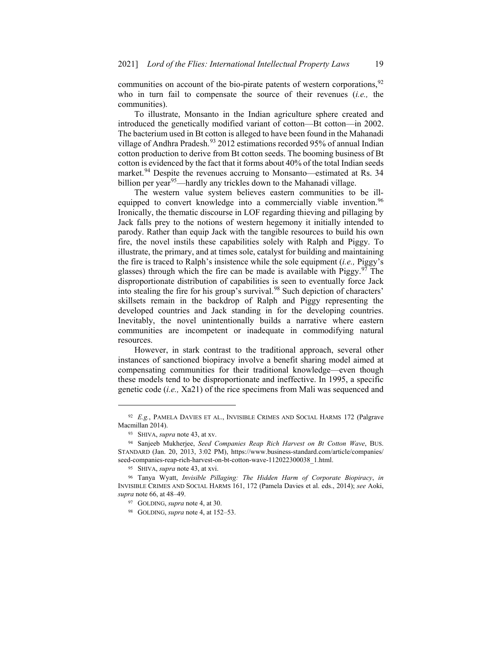communities on account of the bio-pirate patents of western corporations,<sup>[92](#page-18-2)</sup> who in turn fail to compensate the source of their revenues (*i.e.,* the communities).

To illustrate, Monsanto in the Indian agriculture sphere created and introduced the genetically modified variant of cotton—Bt cotton—in 2002. The bacterium used in Bt cotton is alleged to have been found in the Mahanadi village of Andhra Pradesh.<sup>[93](#page-18-3)</sup> 2012 estimations recorded 95% of annual Indian cotton production to derive from Bt cotton seeds. The booming business of Bt cotton is evidenced by the fact that it forms about 40% of the total Indian seeds market.<sup>[94](#page-18-4)</sup> Despite the revenues accruing to Monsanto—estimated at Rs. 34 billion per year<sup>95</sup>—hardly any trickles down to the Mahanadi village.

The western value system believes eastern communities to be ill-equipped to convert knowledge into a commercially viable invention.<sup>[96](#page-18-6)</sup> Ironically, the thematic discourse in LOF regarding thieving and pillaging by Jack falls prey to the notions of western hegemony it initially intended to parody. Rather than equip Jack with the tangible resources to build his own fire, the novel instils these capabilities solely with Ralph and Piggy. To illustrate, the primary, and at times sole, catalyst for building and maintaining the fire is traced to Ralph's insistence while the sole equipment (*i.e.,* Piggy's glasses) through which the fire can be made is available with Piggy.<sup>[97](#page-19-0)</sup> The disproportionate distribution of capabilities is seen to eventually force Jack into stealing the fire for his group's survival.<sup>[98](#page-19-1)</sup> Such depiction of characters' skillsets remain in the backdrop of Ralph and Piggy representing the developed countries and Jack standing in for the developing countries. Inevitably, the novel unintentionally builds a narrative where eastern communities are incompetent or inadequate in commodifying natural resources.

However, in stark contrast to the traditional approach, several other instances of sanctioned biopiracy involve a benefit sharing model aimed at compensating communities for their traditional knowledge—even though these models tend to be disproportionate and ineffective. In 1995, a specific genetic code (*i.e.,* Xa21) of the rice specimens from Mali was sequenced and

<span id="page-18-2"></span><span id="page-18-1"></span><span id="page-18-0"></span><sup>92</sup> *E.g.*, PAMELA DAVIES ET AL., INVISIBLE CRIMES AND SOCIAL HARMS 172 (Palgrave Macmillan 2014).

<sup>93</sup> SHIVA, *supra* note 43, at xv.

<span id="page-18-4"></span><span id="page-18-3"></span><sup>94</sup> Sanjeeb Mukherjee, *Seed Companies Reap Rich Harvest on Bt Cotton Wave*, BUS. STANDARD (Jan. 20, 2013, 3:02 PM), https://www.business-standard.com/article/companies/ seed-companies-reap-rich-harvest-on-bt-cotton-wave-112022300038\_1.html.

<sup>95</sup> SHIVA, *supra* note 43, at xvi.

<span id="page-18-6"></span><span id="page-18-5"></span><sup>96</sup> Tanya Wyatt, *Invisible Pillaging: The Hidden Harm of Corporate Biopiracy*, *in* INVISIBLE CRIMES AND SOCIAL HARMS 161, 172 (Pamela Davies et al. eds., 2014); *see* Aoki, *supra* note 66, at 48–49.

<sup>97</sup> GOLDING, *supra* note 4, at 30.

<sup>98</sup> GOLDING, *supra* note 4, at 152–53.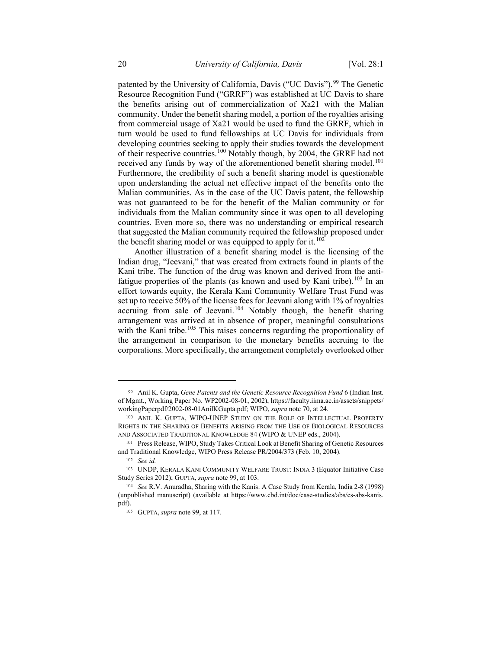patented by the University of California, Davis ("UC Davis").<sup>[99](#page-19-2)</sup> The Genetic Resource Recognition Fund ("GRRF") was established at UC Davis to share the benefits arising out of commercialization of Xa21 with the Malian community. Under the benefit sharing model, a portion of the royalties arising from commercial usage of Xa21 would be used to fund the GRRF, which in turn would be used to fund fellowships at UC Davis for individuals from developing countries seeking to apply their studies towards the development of their respective countries.[100](#page-19-3) Notably though, by 2004, the GRRF had not received any funds by way of the aforementioned benefit sharing model.<sup>[101](#page-19-4)</sup> Furthermore, the credibility of such a benefit sharing model is questionable upon understanding the actual net effective impact of the benefits onto the Malian communities. As in the case of the UC Davis patent, the fellowship was not guaranteed to be for the benefit of the Malian community or for individuals from the Malian community since it was open to all developing countries. Even more so, there was no understanding or empirical research that suggested the Malian community required the fellowship proposed under the benefit sharing model or was equipped to apply for it.<sup>[102](#page-19-5)</sup>

Another illustration of a benefit sharing model is the licensing of the Indian drug, "Jeevani," that was created from extracts found in plants of the Kani tribe. The function of the drug was known and derived from the anti-fatigue properties of the plants (as known and used by Kani tribe).<sup>[103](#page-20-0)</sup> In an effort towards equity, the Kerala Kani Community Welfare Trust Fund was set up to receive 50% of the license fees for Jeevani along with 1% of royalties accruing from sale of Jeevani.<sup>[104](#page-20-1)</sup> Notably though, the benefit sharing arrangement was arrived at in absence of proper, meaningful consultations with the Kani tribe.<sup>[105](#page-20-2)</sup> This raises concerns regarding the proportionality of the arrangement in comparison to the monetary benefits accruing to the corporations. More specifically, the arrangement completely overlooked other

<sup>99</sup> Anil K. Gupta, *Gene Patents and the Genetic Resource Recognition Fund* 6 (Indian Inst. of Mgmt., Working Paper No. WP2002-08-01, 2002), https://faculty.iima.ac.in/assets/snippets/ workingPaperpdf/2002-08-01AnilKGupta.pdf; WIPO, *supra* note 70, at 24.

<span id="page-19-1"></span><span id="page-19-0"></span><sup>100</sup> ANIL K. GUPTA, WIPO-UNEP STUDY ON THE ROLE OF INTELLECTUAL PROPERTY RIGHTS IN THE SHARING OF BENEFITS ARISING FROM THE USE OF BIOLOGICAL RESOURCES AND ASSOCIATED TRADITIONAL KNOWLEDGE 84 (WIPO & UNEP eds., 2004).

<span id="page-19-2"></span><sup>101</sup> Press Release, WIPO, Study Takes Critical Look at Benefit Sharing of Genetic Resources and Traditional Knowledge, WIPO Press Release PR/2004/373 (Feb. 10, 2004).

<sup>102</sup> *See id.*

<span id="page-19-3"></span><sup>103</sup> UNDP, KERALA KANI COMMUNITY WELFARE TRUST: INDIA 3 (Equator Initiative Case Study Series 2012); GUPTA, *supra* note 99, at 103.

<span id="page-19-5"></span><span id="page-19-4"></span><sup>104</sup> *See* R.V. Anuradha, Sharing with the Kanis: A Case Study from Kerala, India 2-8 (1998) (unpublished manuscript) (available at https://www.cbd.int/doc/case-studies/abs/cs-abs-kanis. pdf).

<sup>105</sup> GUPTA, *supra* note 99, at 117.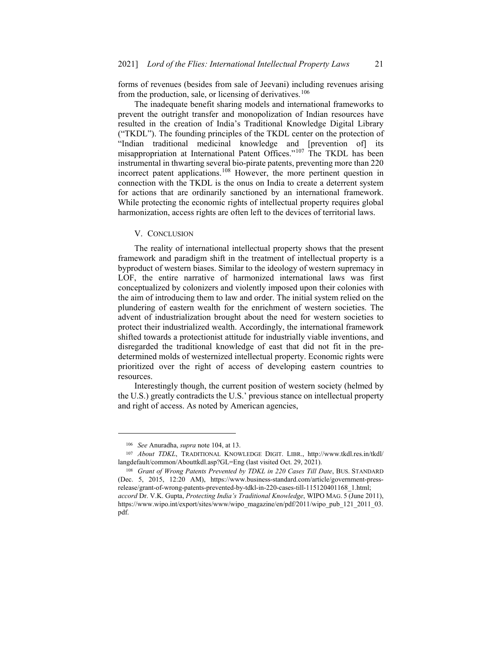forms of revenues (besides from sale of Jeevani) including revenues arising from the production, sale, or licensing of derivatives.<sup>106</sup>

The inadequate benefit sharing models and international frameworks to prevent the outright transfer and monopolization of Indian resources have resulted in the creation of India's Traditional Knowledge Digital Library ("TKDL"). The founding principles of the TKDL center on the protection of "Indian traditional medicinal knowledge and [prevention of] its misappropriation at International Patent Offices."[107](#page-20-4) The TKDL has been instrumental in thwarting several bio-pirate patents, preventing more than 220 incorrect patent applications.[108](#page-20-5) However, the more pertinent question in connection with the TKDL is the onus on India to create a deterrent system for actions that are ordinarily sanctioned by an international framework. While protecting the economic rights of intellectual property requires global harmonization, access rights are often left to the devices of territorial laws.

### V. CONCLUSION

The reality of international intellectual property shows that the present framework and paradigm shift in the treatment of intellectual property is a byproduct of western biases. Similar to the ideology of western supremacy in LOF, the entire narrative of harmonized international laws was first conceptualized by colonizers and violently imposed upon their colonies with the aim of introducing them to law and order. The initial system relied on the plundering of eastern wealth for the enrichment of western societies. The advent of industrialization brought about the need for western societies to protect their industrialized wealth. Accordingly, the international framework shifted towards a protectionist attitude for industrially viable inventions, and disregarded the traditional knowledge of east that did not fit in the predetermined molds of westernized intellectual property. Economic rights were prioritized over the right of access of developing eastern countries to resources.

<span id="page-20-1"></span><span id="page-20-0"></span>Interestingly though, the current position of western society (helmed by the U.S.) greatly contradicts the U.S.' previous stance on intellectual property and right of access. As noted by American agencies,

<sup>106</sup> *See* Anuradha, *supra* note 104, at 13.

<span id="page-20-4"></span><span id="page-20-3"></span><span id="page-20-2"></span><sup>107</sup> *About TDKL*, TRADITIONAL KNOWLEDGE DIGIT. LIBR., http://www.tkdl.res.in/tkdl/ langdefault/common/Abouttkdl.asp?GL=Eng (last visited Oct. 29, 2021).

<span id="page-20-5"></span><sup>108</sup> *Grant of Wrong Patents Prevented by TDKL in 220 Cases Till Date*, BUS. STANDARD (Dec. 5, 2015, 12:20 AM), https://www.business-standard.com/article/government-pressrelease/grant-of-wrong-patents-prevented-by-tdkl-in-220-cases-till-115120401168\_1.html; *accord* Dr. V.K. Gupta, *Protecting India's Traditional Knowledge*, WIPO MAG. 5 (June 2011), https://www.wipo.int/export/sites/www/wipo\_magazine/en/pdf/2011/wipo\_pub\_121\_2011\_03. pdf.